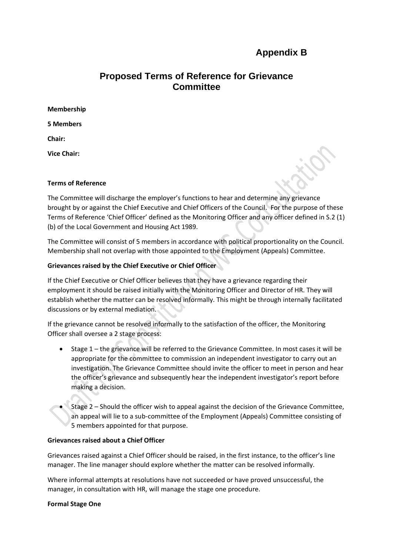# **Appendix B**

# **Proposed Terms of Reference for Grievance Committee**

| Membership         |
|--------------------|
| <b>5 Members</b>   |
| Chair:             |
| <b>Vice Chair:</b> |

#### **Terms of Reference**

The Committee will discharge the employer's functions to hear and determine any grievance brought by or against the Chief Executive and Chief Officers of the Council. For the purpose of these Terms of Reference 'Chief Officer' defined as the Monitoring Officer and any officer defined in S.2 (1) (b) of the Local Government and Housing Act 1989.

The Committee will consist of 5 members in accordance with political proportionality on the Council. Membership shall not overlap with those appointed to the Employment (Appeals) Committee.

# **Grievances raised by the Chief Executive or Chief Officer**

If the Chief Executive or Chief Officer believes that they have a grievance regarding their employment it should be raised initially with the Monitoring Officer and Director of HR. They will establish whether the matter can be resolved informally. This might be through internally facilitated discussions or by external mediation.

If the grievance cannot be resolved informally to the satisfaction of the officer, the Monitoring Officer shall oversee a 2 stage process:

- Stage 1 the grievance will be referred to the Grievance Committee. In most cases it will be appropriate for the committee to commission an independent investigator to carry out an investigation. The Grievance Committee should invite the officer to meet in person and hear the officer's grievance and subsequently hear the independent investigator's report before making a decision.
- Stage 2 Should the officer wish to appeal against the decision of the Grievance Committee, an appeal will lie to a sub-committee of the Employment (Appeals) Committee consisting of 5 members appointed for that purpose.

#### **Grievances raised about a Chief Officer**

Grievances raised against a Chief Officer should be raised, in the first instance, to the officer's line manager. The line manager should explore whether the matter can be resolved informally.

Where informal attempts at resolutions have not succeeded or have proved unsuccessful, the manager, in consultation with HR, will manage the stage one procedure.

#### **Formal Stage One**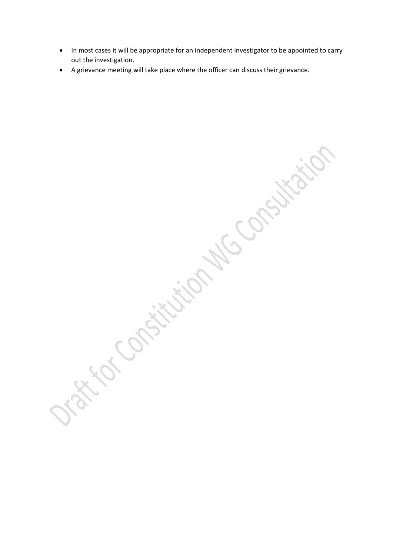- In most cases it will be appropriate for an independent investigator to be appointed to carry out the investigation.
- A grievance meeting will take place where the officer can discuss their grievance.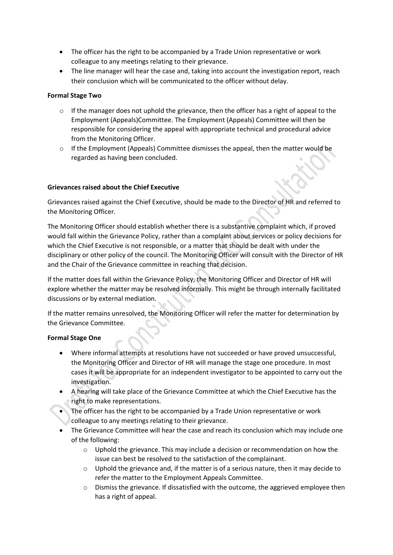- The officer has the right to be accompanied by a Trade Union representative or work colleague to any meetings relating to their grievance.
- The line manager will hear the case and, taking into account the investigation report, reach their conclusion which will be communicated to the officer without delay.

## **Formal Stage Two**

- $\circ$  If the manager does not uphold the grievance, then the officer has a right of appeal to the Employment (Appeals)Committee. The Employment (Appeals) Committee will then be responsible for considering the appeal with appropriate technical and procedural advice from the Monitoring Officer.
- $\circ$  If the Employment (Appeals) Committee dismisses the appeal, then the matter would be regarded as having been concluded.

### **Grievances raised about the Chief Executive**

Grievances raised against the Chief Executive, should be made to the Director of HR and referred to the Monitoring Officer.

The Monitoring Officer should establish whether there is a substantive complaint which, if proved would fall within the Grievance Policy, rather than a complaint about services or policy decisions for which the Chief Executive is not responsible, or a matter that should be dealt with under the disciplinary or other policy of the council. The Monitoring Officer will consult with the Director of HR and the Chair of the Grievance committee in reaching that decision.

If the matter does fall within the Grievance Policy, the Monitoring Officer and Director of HR will explore whether the matter may be resolved informally. This might be through internally facilitated discussions or by external mediation.

If the matter remains unresolved, the Monitoring Officer will refer the matter for determination by the Grievance Committee.

#### **Formal Stage One**

- Where informal attempts at resolutions have not succeeded or have proved unsuccessful, the Monitoring Officer and Director of HR will manage the stage one procedure. In most cases it will be appropriate for an independent investigator to be appointed to carry out the investigation.
- A hearing will take place of the Grievance Committee at which the Chief Executive has the right to make representations.
- The officer has the right to be accompanied by a Trade Union representative or work colleague to any meetings relating to their grievance.
- The Grievance Committee will hear the case and reach its conclusion which may include one of the following:
	- o Uphold the grievance. This may include a decision or recommendation on how the issue can best be resolved to the satisfaction of the complainant.
	- $\circ$  Uphold the grievance and, if the matter is of a serious nature, then it may decide to refer the matter to the Employment Appeals Committee.
	- o Dismiss the grievance. If dissatisfied with the outcome, the aggrieved employee then has a right of appeal.